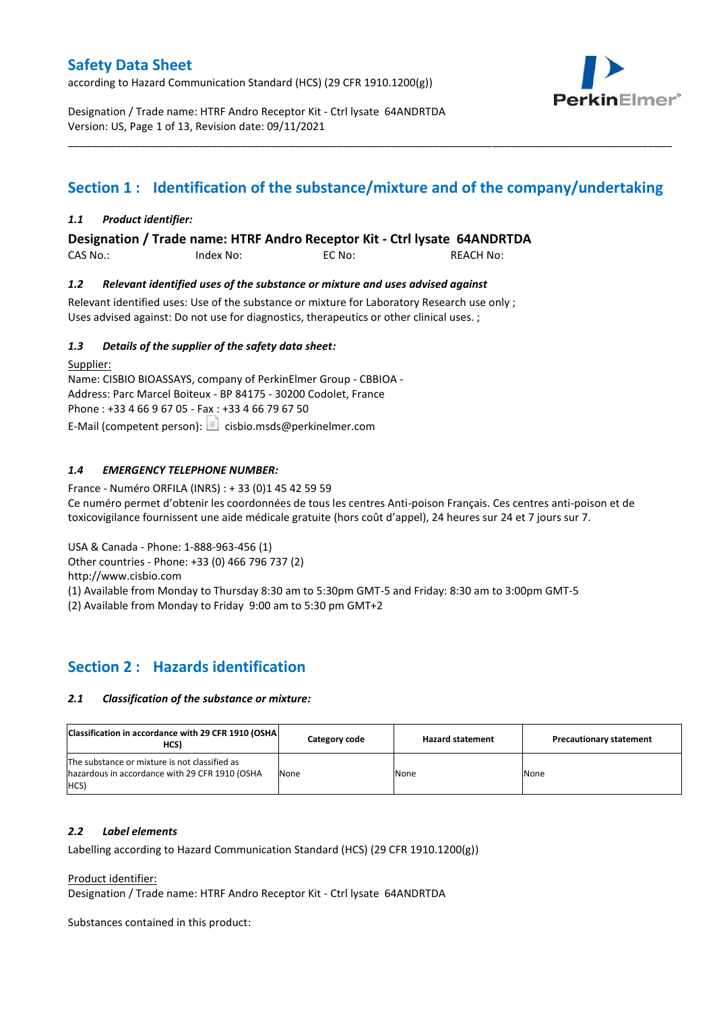according to Hazard Communication Standard (HCS) (29 CFR 1910.1200(g))



Designation / Trade name: HTRF Andro Receptor Kit - Ctrl lysate 64ANDRTDA Version: US, Page 1 of 13, Revision date: 09/11/2021

# **Section 1 : Identification of the substance/mixture and of the company/undertaking**

\_\_\_\_\_\_\_\_\_\_\_\_\_\_\_\_\_\_\_\_\_\_\_\_\_\_\_\_\_\_\_\_\_\_\_\_\_\_\_\_\_\_\_\_\_\_\_\_\_\_\_\_\_\_\_\_\_\_\_\_\_\_\_\_\_\_\_\_\_\_\_\_\_\_\_\_\_\_\_\_\_\_\_\_\_\_\_\_\_\_\_\_\_\_\_\_\_\_\_\_\_

## *1.1 Product identifier:*

**Designation / Trade name: HTRF Andro Receptor Kit - Ctrl lysate 64ANDRTDA** 

CAS No.: Index No: EC No: REACH No:

### *1.2 Relevant identified uses of the substance or mixture and uses advised against*

Relevant identified uses: Use of the substance or mixture for Laboratory Research use only ; Uses advised against: Do not use for diagnostics, therapeutics or other clinical uses. ;

### *1.3 Details of the supplier of the safety data sheet:*

Supplier: Name: CISBIO BIOASSAYS, company of PerkinElmer Group - CBBIOA - Address: Parc Marcel Boiteux - BP 84175 - 30200 Codolet, France Phone : +33 4 66 9 67 05 - Fax : +33 4 66 79 67 50 E-Mail (competent person):  $\Box$  cisbio.msds@perkinelmer.com

## *1.4 EMERGENCY TELEPHONE NUMBER:*

France - Numéro ORFILA (INRS) : + 33 (0)1 45 42 59 59 Ce numéro permet d'obtenir les coordonnées de tous les centres Anti-poison Français. Ces centres anti-poison et de toxicovigilance fournissent une aide médicale gratuite (hors coût d'appel), 24 heures sur 24 et 7 jours sur 7.

USA & Canada - Phone: 1-888-963-456 (1)

Other countries - Phone: +33 (0) 466 796 737 (2)

http://www.cisbio.com

(1) Available from Monday to Thursday 8:30 am to 5:30pm GMT-5 and Friday: 8:30 am to 3:00pm GMT-5

(2) Available from Monday to Friday 9:00 am to 5:30 pm GMT+2

# **Section 2 : Hazards identification**

#### *2.1 Classification of the substance or mixture:*

| Classification in accordance with 29 CFR 1910 (OSHA)<br>HCS)                                            | Category code | <b>Hazard statement</b> | <b>Precautionary statement</b> |
|---------------------------------------------------------------------------------------------------------|---------------|-------------------------|--------------------------------|
| The substance or mixture is not classified as<br>hazardous in accordance with 29 CFR 1910 (OSHA<br>HCS) | None          | None                    | None                           |

#### *2.2 Label elements*

Labelling according to Hazard Communication Standard (HCS) (29 CFR 1910.1200(g))

Product identifier:

Designation / Trade name: HTRF Andro Receptor Kit - Ctrl lysate 64ANDRTDA

Substances contained in this product: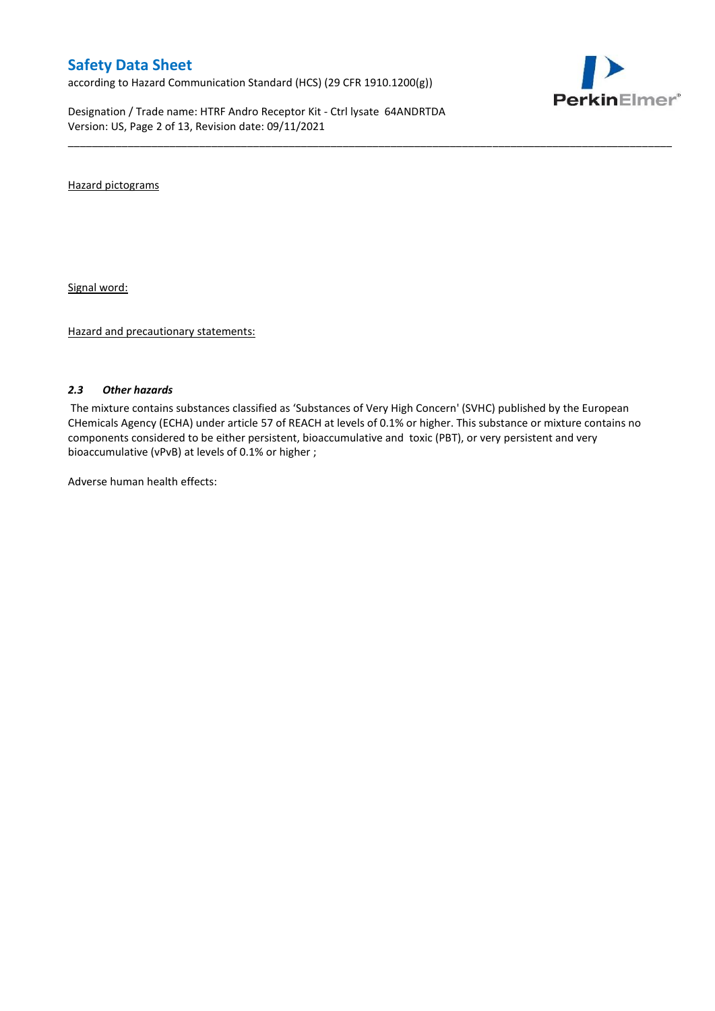according to Hazard Communication Standard (HCS) (29 CFR 1910.1200(g))

Designation / Trade name: HTRF Andro Receptor Kit - Ctrl lysate 64ANDRTDA Version: US, Page 2 of 13, Revision date: 09/11/2021



Hazard pictograms

Signal word:

Hazard and precautionary statements:

#### *2.3 Other hazards*

The mixture contains substances classified as 'Substances of Very High Concern' (SVHC) published by the European CHemicals Agency (ECHA) under article 57 of REACH at levels of 0.1% or higher. This substance or mixture contains no components considered to be either persistent, bioaccumulative and toxic (PBT), or very persistent and very bioaccumulative (vPvB) at levels of 0.1% or higher ;

\_\_\_\_\_\_\_\_\_\_\_\_\_\_\_\_\_\_\_\_\_\_\_\_\_\_\_\_\_\_\_\_\_\_\_\_\_\_\_\_\_\_\_\_\_\_\_\_\_\_\_\_\_\_\_\_\_\_\_\_\_\_\_\_\_\_\_\_\_\_\_\_\_\_\_\_\_\_\_\_\_\_\_\_\_\_\_\_\_\_\_\_\_\_\_\_\_\_\_\_\_

Adverse human health effects: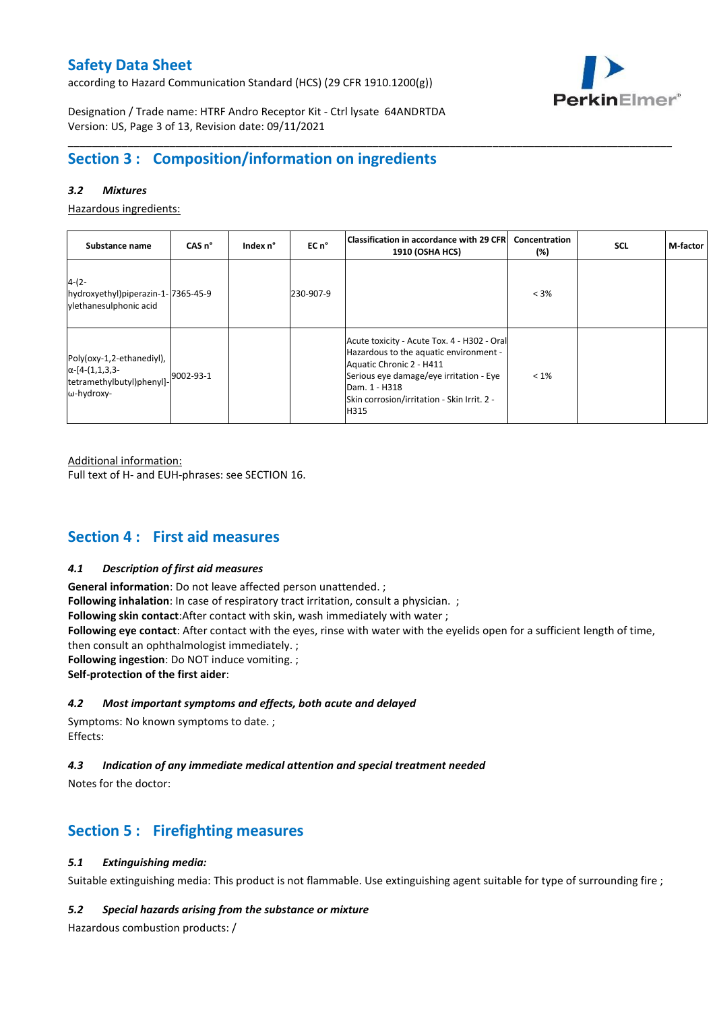according to Hazard Communication Standard (HCS) (29 CFR 1910.1200(g))



Designation / Trade name: HTRF Andro Receptor Kit - Ctrl lysate 64ANDRTDA Version: US, Page 3 of 13, Revision date: 09/11/2021

# **Section 3 : Composition/information on ingredients**

## *3.2 Mixtures*

Hazardous ingredients:

| Substance name                                                                                 | CAS <sub>n</sub> ° | Index n° | EC n°     | Classification in accordance with 29 CFR <br><b>1910 (OSHA HCS)</b>                                                                                                                                                                  | Concentration<br>(%) | <b>SCL</b> | M-factor |
|------------------------------------------------------------------------------------------------|--------------------|----------|-----------|--------------------------------------------------------------------------------------------------------------------------------------------------------------------------------------------------------------------------------------|----------------------|------------|----------|
| $4-(2-$<br>hydroxyethyl)piperazin-1-7365-45-9<br>vlethanesulphonic acid                        |                    |          | 230-907-9 |                                                                                                                                                                                                                                      | $< 3\%$              |            |          |
| Poly(oxy-1,2-ethanediyl),<br>$\alpha$ -[4-(1,1,3,3-<br>tetramethylbutyl)phenyl]-<br>ω-hydroxy- | 9002-93-1          |          |           | Acute toxicity - Acute Tox. 4 - H302 - Oral<br>Hazardous to the aquatic environment -<br>Aquatic Chronic 2 - H411<br>Serious eye damage/eye irritation - Eye<br>Dam. 1 - H318<br>Skin corrosion/irritation - Skin Irrit. 2 -<br>H315 | $< 1\%$              |            |          |

\_\_\_\_\_\_\_\_\_\_\_\_\_\_\_\_\_\_\_\_\_\_\_\_\_\_\_\_\_\_\_\_\_\_\_\_\_\_\_\_\_\_\_\_\_\_\_\_\_\_\_\_\_\_\_\_\_\_\_\_\_\_\_\_\_\_\_\_\_\_\_\_\_\_\_\_\_\_\_\_\_\_\_\_\_\_\_\_\_\_\_\_\_\_\_\_\_\_\_\_\_

Additional information:

Full text of H- and EUH-phrases: see SECTION 16.

# **Section 4 : First aid measures**

#### *4.1 Description of first aid measures*

**General information**: Do not leave affected person unattended. ; **Following inhalation**: In case of respiratory tract irritation, consult a physician. ; **Following skin contact**:After contact with skin, wash immediately with water ; **Following eye contact**: After contact with the eyes, rinse with water with the eyelids open for a sufficient length of time, then consult an ophthalmologist immediately. ; **Following ingestion**: Do NOT induce vomiting. ; **Self-protection of the first aider**:

### *4.2 Most important symptoms and effects, both acute and delayed*

Symptoms: No known symptoms to date. ; Effects:

#### *4.3 Indication of any immediate medical attention and special treatment needed*

Notes for the doctor:

# **Section 5 : Firefighting measures**

## *5.1 Extinguishing media:*

Suitable extinguishing media: This product is not flammable. Use extinguishing agent suitable for type of surrounding fire ;

#### *5.2 Special hazards arising from the substance or mixture*

Hazardous combustion products: /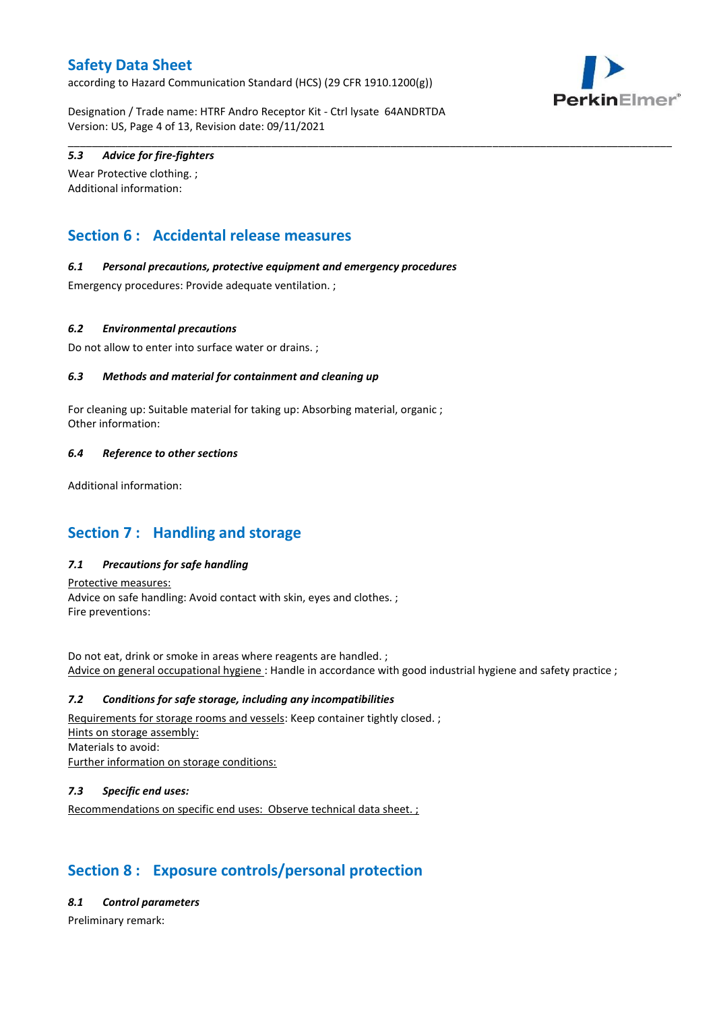according to Hazard Communication Standard (HCS) (29 CFR 1910.1200(g))



Designation / Trade name: HTRF Andro Receptor Kit - Ctrl lysate 64ANDRTDA Version: US, Page 4 of 13, Revision date: 09/11/2021

\_\_\_\_\_\_\_\_\_\_\_\_\_\_\_\_\_\_\_\_\_\_\_\_\_\_\_\_\_\_\_\_\_\_\_\_\_\_\_\_\_\_\_\_\_\_\_\_\_\_\_\_\_\_\_\_\_\_\_\_\_\_\_\_\_\_\_\_\_\_\_\_\_\_\_\_\_\_\_\_\_\_\_\_\_\_\_\_\_\_\_\_\_\_\_\_\_\_\_\_\_

# *5.3 Advice for fire-fighters*

Wear Protective clothing. ; Additional information:

# **Section 6 : Accidental release measures**

### *6.1 Personal precautions, protective equipment and emergency procedures*

Emergency procedures: Provide adequate ventilation. ;

### *6.2 Environmental precautions*

Do not allow to enter into surface water or drains. ;

### *6.3 Methods and material for containment and cleaning up*

For cleaning up: Suitable material for taking up: Absorbing material, organic ; Other information:

### *6.4 Reference to other sections*

Additional information:

# **Section 7 : Handling and storage**

## *7.1 Precautions for safe handling*

Protective measures: Advice on safe handling: Avoid contact with skin, eyes and clothes. ; Fire preventions:

Do not eat, drink or smoke in areas where reagents are handled. ; Advice on general occupational hygiene : Handle in accordance with good industrial hygiene and safety practice ;

#### *7.2 Conditions for safe storage, including any incompatibilities*

Requirements for storage rooms and vessels: Keep container tightly closed. ; Hints on storage assembly: Materials to avoid: Further information on storage conditions:

## *7.3 Specific end uses:*

Recommendations on specific end uses: Observe technical data sheet. ;

# **Section 8 : Exposure controls/personal protection**

### *8.1 Control parameters*

Preliminary remark: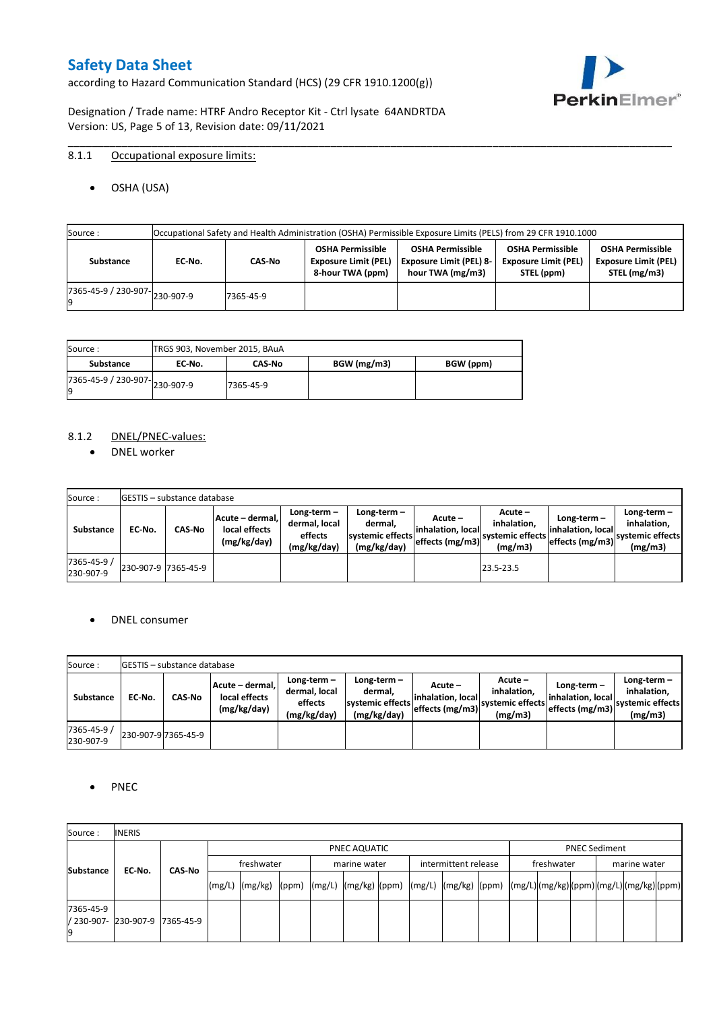according to Hazard Communication Standard (HCS) (29 CFR 1910.1200(g))



Designation / Trade name: HTRF Andro Receptor Kit - Ctrl lysate 64ANDRTDA Version: US, Page 5 of 13, Revision date: 09/11/2021

# 8.1.1 Occupational exposure limits:

OSHA (USA)

| Source : |           |                                      |           |                                                                            | Occupational Safety and Health Administration (OSHA) Permissible Exposure Limits (PELS) from 29 CFR 1910.1000 |                                                                      |                                                                        |
|----------|-----------|--------------------------------------|-----------|----------------------------------------------------------------------------|---------------------------------------------------------------------------------------------------------------|----------------------------------------------------------------------|------------------------------------------------------------------------|
|          | Substance | EC No.                               | CAS-No    | <b>OSHA Permissible</b><br><b>Exposure Limit (PEL)</b><br>8-hour TWA (ppm) | <b>OSHA Permissible</b><br><b>Exposure Limit (PEL) 8-</b><br>hour TWA (mg/m3)                                 | <b>OSHA Permissible</b><br><b>Exposure Limit (PEL)</b><br>STEL (ppm) | <b>OSHA Permissible</b><br><b>Exposure Limit (PEL)</b><br>STEL (mg/m3) |
|          |           | $(7365-45-9) / 230-907$ $ 230-907-9$ | 7365-45-9 |                                                                            |                                                                                                               |                                                                      |                                                                        |

\_\_\_\_\_\_\_\_\_\_\_\_\_\_\_\_\_\_\_\_\_\_\_\_\_\_\_\_\_\_\_\_\_\_\_\_\_\_\_\_\_\_\_\_\_\_\_\_\_\_\_\_\_\_\_\_\_\_\_\_\_\_\_\_\_\_\_\_\_\_\_\_\_\_\_\_\_\_\_\_\_\_\_\_\_\_\_\_\_\_\_\_\_\_\_\_\_\_\_\_\_

| Source :                       | TRGS 903, November 2015, BAuA |               |             |           |
|--------------------------------|-------------------------------|---------------|-------------|-----------|
| Substance                      | EC No.                        | <b>CAS-No</b> | BGW (mg/m3) | BGW (ppm) |
| ./365-45-9 / 230-907-230-907-9 |                               | 7365-45-9     |             |           |

### 8.1.2 DNEL/PNEC-values:

• DNEL worker

| Source:                  |                     | <b>IGESTIS – substance database</b> |                                                 |                                                          |                                                             |                                                  |                                                       |                                                          |                                                             |
|--------------------------|---------------------|-------------------------------------|-------------------------------------------------|----------------------------------------------------------|-------------------------------------------------------------|--------------------------------------------------|-------------------------------------------------------|----------------------------------------------------------|-------------------------------------------------------------|
| Substance                | EC-No.              | <b>CAS-No</b>                       | Acute – dermal,<br>local effects<br>(mg/kg/day) | Long-term $-$<br>dermal, local<br>effects<br>(mg/kg/day) | Long-term $-$<br>dermal,<br>systemic effects<br>(mg/kg/day) | Acute –<br>linhalation. local<br>effects (mg/m3) | Acute -<br>inhalation.<br>systemic effects<br>(mg/m3) | Long-term $-$<br>linhalation. local<br>effects (mg/m3) ` | $Long-term -$<br>inhalation.<br>systemic effects<br>(mg/m3) |
| 7365-45-9 /<br>230-907-9 | 230-907-9 7365-45-9 |                                     |                                                 |                                                          |                                                             |                                                  | 23.5-23.5                                             |                                                          |                                                             |

#### DNEL consumer

| Source:                  |        | <b>IGESTIS – substance database</b> |                                                 |                                                          |                                                             |                                                        |                                                       |                                                        |                                                             |
|--------------------------|--------|-------------------------------------|-------------------------------------------------|----------------------------------------------------------|-------------------------------------------------------------|--------------------------------------------------------|-------------------------------------------------------|--------------------------------------------------------|-------------------------------------------------------------|
| Substance                | EC No. | CAS-No                              | Acute - dermal,<br>local effects<br>(mg/kg/day) | Long-term $-$<br>dermal, local<br>effects<br>(mg/kg/day) | $Long-term -$<br>dermal.<br>systemic effects<br>(mg/kg/day) | Acute –<br>linhalation. local<br>$effects$ (mg/m3) $ $ | Acute -<br>inhalation.<br>systemic effects<br>(mg/m3) | $Long-term -$<br>linhalation. local<br>effects (mg/m3) | Long-term $-$<br>inhalation.<br>systemic effects<br>(mg/m3) |
| 7365-45-9 /<br>230-907-9 |        | 230-907-9 7365-45-9                 |                                                 |                                                          |                                                             |                                                        |                                                       |                                                        |                                                             |

### • PNEC

| Source:                                 | <b>INERIS</b> |               |            |                                                                                                                                                                                                                                                                                                                                                                                                                                                                                               |  |  |              |  |                      |  |            |                      |              |  |  |  |  |
|-----------------------------------------|---------------|---------------|------------|-----------------------------------------------------------------------------------------------------------------------------------------------------------------------------------------------------------------------------------------------------------------------------------------------------------------------------------------------------------------------------------------------------------------------------------------------------------------------------------------------|--|--|--------------|--|----------------------|--|------------|----------------------|--------------|--|--|--|--|
|                                         |               |               |            | PNEC AQUATIC                                                                                                                                                                                                                                                                                                                                                                                                                                                                                  |  |  |              |  |                      |  |            | <b>PNEC Sediment</b> |              |  |  |  |  |
|                                         | EC-No.        | <b>CAS No</b> | freshwater |                                                                                                                                                                                                                                                                                                                                                                                                                                                                                               |  |  | marine water |  | intermittent release |  | freshwater |                      | marine water |  |  |  |  |
| <b>Substance</b>                        |               |               |            | $\lceil (mg/L) \rceil \cdot (mg/kg) \cdot (ppm) \cdot (mg/L) \cdot (mg/kg) \cdot (ppm) \cdot (mg/L) \cdot (mg/kg) \cdot (ppm) \cdot (mg/L) \cdot (mg/L) \cdot (mg/L) \cdot (mg/L) \cdot (mg/L) \cdot (mg/L) \cdot (mg/L) \cdot (mg/L) \cdot (mg/L) \cdot (mg/L) \cdot (mg/L) \cdot (mg/L) \cdot (mg/L) \cdot (mg/L) \cdot (mg/L) \cdot (mg/L) \cdot (gm/L) \cdot (gm/L) \cdot (gm/L) \cdot (mg/L) \cdot (mg/L) \cdot (gm/L) \cdot (gm/L) \cdot (gm/L) \cdot (gm/L) \cdot (gm/L) \cdot (gm/L)$ |  |  |              |  |                      |  |            |                      |              |  |  |  |  |
| 7365-45-9<br>/ 230-907- 230-907-9<br>19 |               | 7365-45-9     |            |                                                                                                                                                                                                                                                                                                                                                                                                                                                                                               |  |  |              |  |                      |  |            |                      |              |  |  |  |  |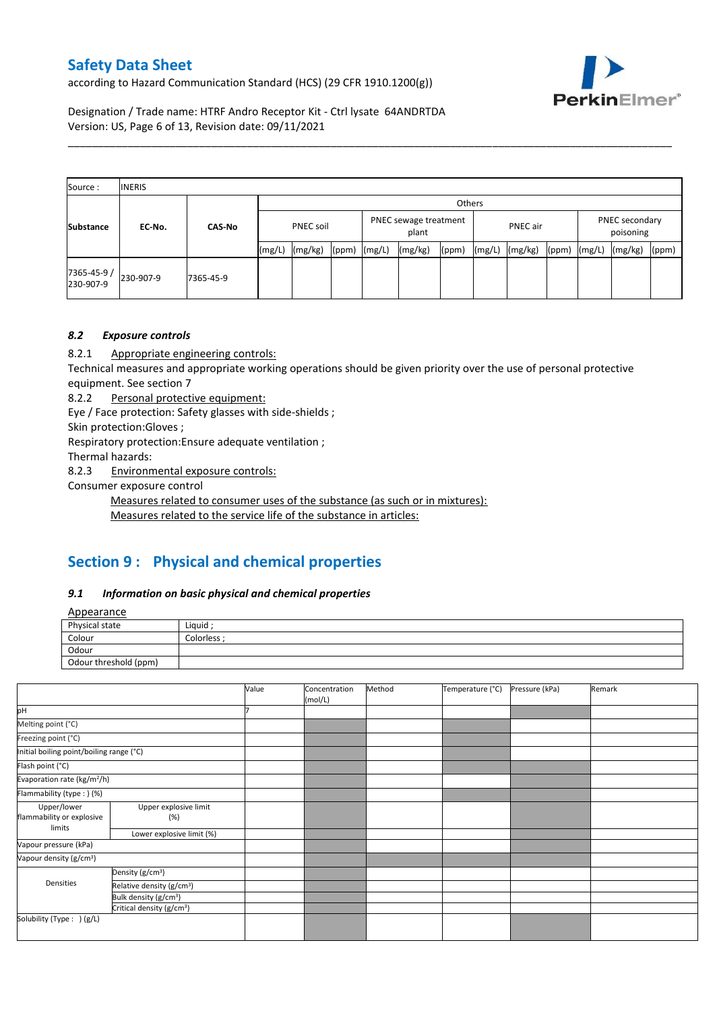according to Hazard Communication Standard (HCS) (29 CFR 1910.1200(g))



Designation / Trade name: HTRF Andro Receptor Kit - Ctrl lysate 64ANDRTDA Version: US, Page 6 of 13, Revision date: 09/11/2021

| Source:                  | <b>INERIS</b> |               |        |           |                                            |        |         |                             |        |         |       |        |         |       |
|--------------------------|---------------|---------------|--------|-----------|--------------------------------------------|--------|---------|-----------------------------|--------|---------|-------|--------|---------|-------|
|                          |               |               |        | Others    |                                            |        |         |                             |        |         |       |        |         |       |
| <b>Substance</b>         | EC-No.        | <b>CAS-No</b> |        | PNEC soil | PNEC sewage treatment<br>PNEC air<br>plant |        |         | PNEC secondary<br>poisoning |        |         |       |        |         |       |
|                          |               |               | (mg/L) | (mg/kg)   | (ppm)                                      | (mg/L) | (mg/kg) | (ppm)                       | (mg/L) | (mg/kg) | (ppm) | (mg/L) | (mg/kg) | (ppm) |
| 7365-45-9 /<br>230-907-9 | 230-907-9     | 7365-45-9     |        |           |                                            |        |         |                             |        |         |       |        |         |       |

\_\_\_\_\_\_\_\_\_\_\_\_\_\_\_\_\_\_\_\_\_\_\_\_\_\_\_\_\_\_\_\_\_\_\_\_\_\_\_\_\_\_\_\_\_\_\_\_\_\_\_\_\_\_\_\_\_\_\_\_\_\_\_\_\_\_\_\_\_\_\_\_\_\_\_\_\_\_\_\_\_\_\_\_\_\_\_\_\_\_\_\_\_\_\_\_\_\_\_\_\_

# *8.2 Exposure controls*

8.2.1 Appropriate engineering controls:

Technical measures and appropriate working operations should be given priority over the use of personal protective equipment. See section 7

8.2.2 Personal protective equipment:

Eye / Face protection: Safety glasses with side-shields ;

Skin protection:Gloves ;

Respiratory protection:Ensure adequate ventilation ;

Thermal hazards:

8.2.3 Environmental exposure controls:

Consumer exposure control

Measures related to consumer uses of the substance (as such or in mixtures):

Measures related to the service life of the substance in articles:

# **Section 9 : Physical and chemical properties**

### *9.1 Information on basic physical and chemical properties*

**Annearance** 

| n                     |             |
|-----------------------|-------------|
| Physical state        | Liquid      |
| Colour                | Colorless · |
| Odour                 |             |
| Odour threshold (ppm) |             |

|                                          |                                       | Value | Concentration<br>(mol/L) | Method | Temperature (°C) | Pressure (kPa) | Remark |
|------------------------------------------|---------------------------------------|-------|--------------------------|--------|------------------|----------------|--------|
| pH                                       |                                       |       |                          |        |                  |                |        |
| Melting point (°C)                       |                                       |       |                          |        |                  |                |        |
| Freezing point (°C)                      |                                       |       |                          |        |                  |                |        |
| Initial boiling point/boiling range (°C) |                                       |       |                          |        |                  |                |        |
| Flash point (°C)                         |                                       |       |                          |        |                  |                |        |
| Evaporation rate (kg/m <sup>2</sup> /h)  |                                       |       |                          |        |                  |                |        |
| Flammability (type:) (%)                 |                                       |       |                          |        |                  |                |        |
| Upper/lower<br>flammability or explosive | Upper explosive limit<br>(%)          |       |                          |        |                  |                |        |
| limits                                   | Lower explosive limit (%)             |       |                          |        |                  |                |        |
| Vapour pressure (kPa)                    |                                       |       |                          |        |                  |                |        |
| Vapour density (g/cm <sup>3</sup> )      |                                       |       |                          |        |                  |                |        |
|                                          | Density (g/cm <sup>3</sup> )          |       |                          |        |                  |                |        |
| Densities                                | Relative density (g/cm <sup>3</sup> ) |       |                          |        |                  |                |        |
|                                          | Bulk density (g/cm <sup>3</sup> )     |       |                          |        |                  |                |        |
|                                          | Critical density (g/cm <sup>3</sup> ) |       |                          |        |                  |                |        |
| Solubility (Type: ) (g/L)                |                                       |       |                          |        |                  |                |        |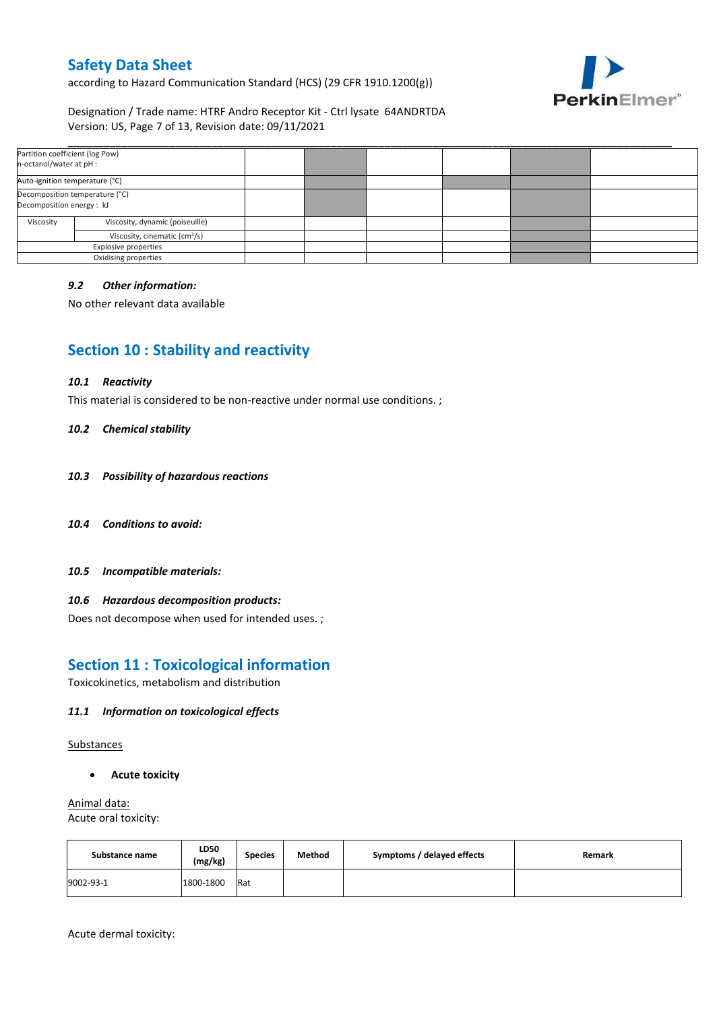according to Hazard Communication Standard (HCS) (29 CFR 1910.1200(g))



## Designation / Trade name: HTRF Andro Receptor Kit - Ctrl lysate 64ANDRTDA Version: US, Page 7 of 13, Revision date: 09/11/2021

| Partition coefficient (log Pow)<br>n-octanol/water at pH :  |                      |  |  |  |
|-------------------------------------------------------------|----------------------|--|--|--|
| Auto-ignition temperature (°C)                              |                      |  |  |  |
| Decomposition temperature (°C)<br>Decomposition energy : kJ |                      |  |  |  |
| Viscosity, dynamic (poiseuille)<br>Viscosity                |                      |  |  |  |
| Viscosity, cinematic (cm <sup>3</sup> /s)                   |                      |  |  |  |
| <b>Explosive properties</b>                                 |                      |  |  |  |
|                                                             | Oxidising properties |  |  |  |

### *9.2 Other information:*

No other relevant data available

# **Section 10 : Stability and reactivity**

#### *10.1 Reactivity*

This material is considered to be non-reactive under normal use conditions. ;

#### *10.2 Chemical stability*

- *10.3 Possibility of hazardous reactions*
- *10.4 Conditions to avoid:*
- *10.5 Incompatible materials:*

### *10.6 Hazardous decomposition products:*

Does not decompose when used for intended uses. ;

# **Section 11 : Toxicological information**

Toxicokinetics, metabolism and distribution

### *11.1 Information on toxicological effects*

Substances

**Acute toxicity**

Animal data: Acute oral toxicity:

| Substance name | LD50<br>(mg/kg) | <b>Species</b> | Method | Symptoms / delayed effects | Remark |
|----------------|-----------------|----------------|--------|----------------------------|--------|
| 9002-93-1      | 1800-1800       | Rat            |        |                            |        |

Acute dermal toxicity: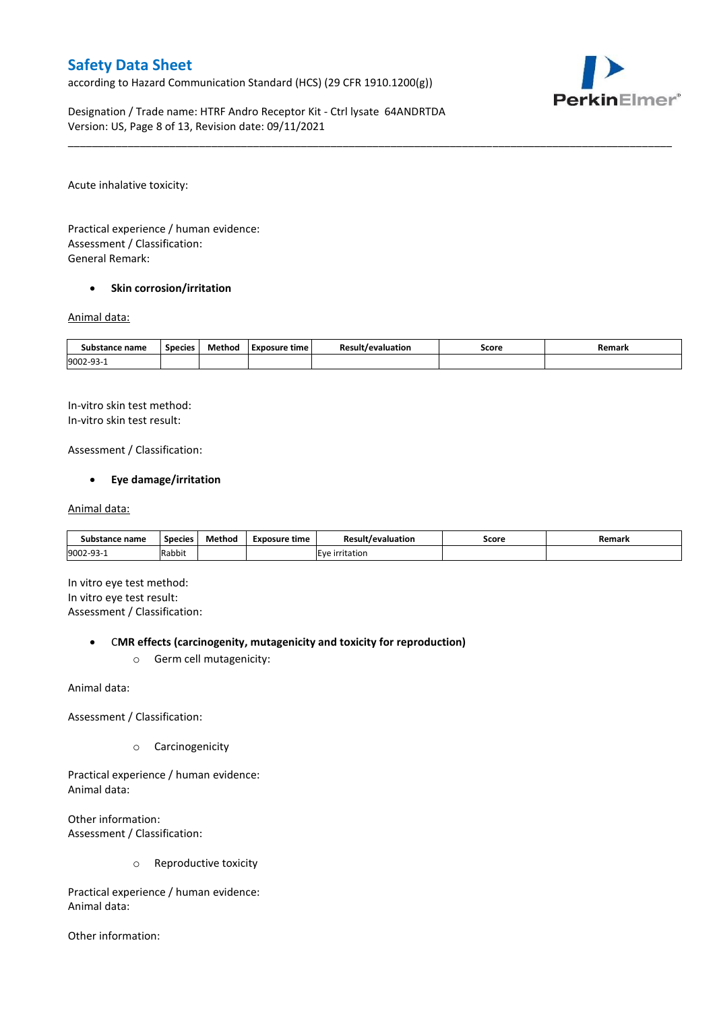according to Hazard Communication Standard (HCS) (29 CFR 1910.1200(g))



Designation / Trade name: HTRF Andro Receptor Kit - Ctrl lysate 64ANDRTDA Version: US, Page 8 of 13, Revision date: 09/11/2021

Acute inhalative toxicity:

Practical experience / human evidence: Assessment / Classification: General Remark:

#### **•** Skin corrosion/irritation

#### Animal data:

| Substance name   | <b>Species</b> | Method | Exposure time | <b>Result/evaluation</b> | Score | Remark |
|------------------|----------------|--------|---------------|--------------------------|-------|--------|
| 9002-93-<br>JJ - |                |        |               |                          |       |        |

\_\_\_\_\_\_\_\_\_\_\_\_\_\_\_\_\_\_\_\_\_\_\_\_\_\_\_\_\_\_\_\_\_\_\_\_\_\_\_\_\_\_\_\_\_\_\_\_\_\_\_\_\_\_\_\_\_\_\_\_\_\_\_\_\_\_\_\_\_\_\_\_\_\_\_\_\_\_\_\_\_\_\_\_\_\_\_\_\_\_\_\_\_\_\_\_\_\_\_\_\_

In-vitro skin test method: In-vitro skin test result:

Assessment / Classification:

### **Eye damage/irritation**

#### Animal data:

| Substance name   | <b>Species</b> | Method | Exposure time | <b>Result/evaluation</b> | Score | Remark |
|------------------|----------------|--------|---------------|--------------------------|-------|--------|
| 9002-93-<br>⊥−∟ت | Rabbit         |        |               | <b>IEve irritation</b>   |       |        |

In vitro eye test method: In vitro eye test result: Assessment / Classification:

#### C**MR effects (carcinogenity, mutagenicity and toxicity for reproduction)**

o Germ cell mutagenicity:

Animal data:

Assessment / Classification:

o Carcinogenicity

Practical experience / human evidence: Animal data:

Other information: Assessment / Classification:

o Reproductive toxicity

Practical experience / human evidence: Animal data:

Other information: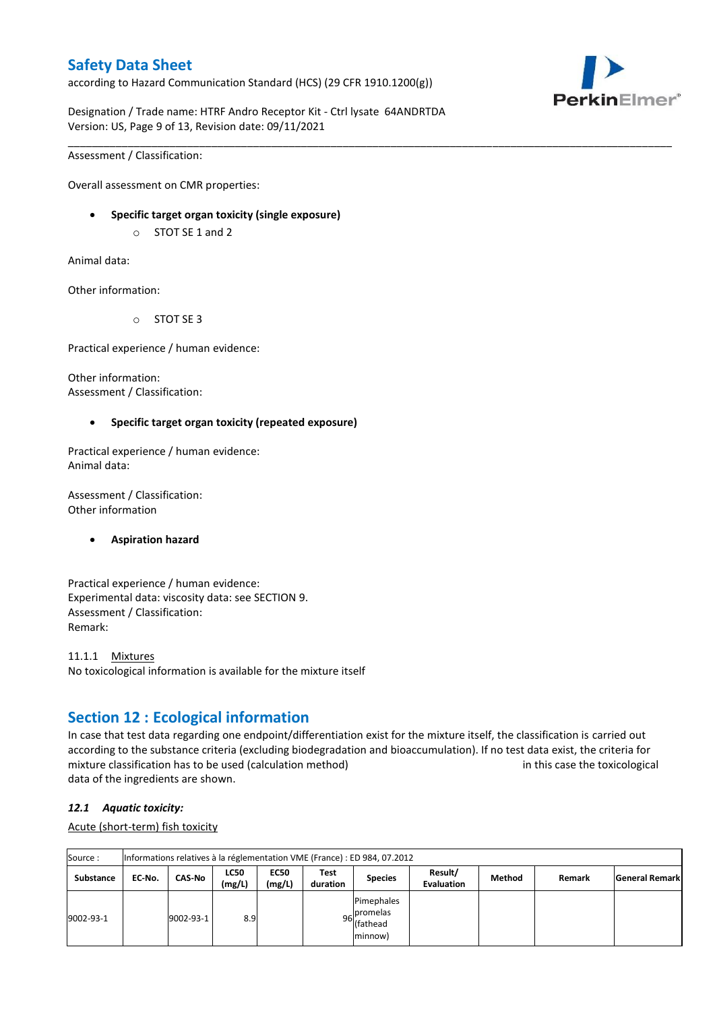according to Hazard Communication Standard (HCS) (29 CFR 1910.1200(g))



Designation / Trade name: HTRF Andro Receptor Kit - Ctrl lysate 64ANDRTDA Version: US, Page 9 of 13, Revision date: 09/11/2021

\_\_\_\_\_\_\_\_\_\_\_\_\_\_\_\_\_\_\_\_\_\_\_\_\_\_\_\_\_\_\_\_\_\_\_\_\_\_\_\_\_\_\_\_\_\_\_\_\_\_\_\_\_\_\_\_\_\_\_\_\_\_\_\_\_\_\_\_\_\_\_\_\_\_\_\_\_\_\_\_\_\_\_\_\_\_\_\_\_\_\_\_\_\_\_\_\_\_\_\_\_

Assessment / Classification:

Overall assessment on CMR properties:

- **Specific target organ toxicity (single exposure)**
	- o STOT SE 1 and 2

Animal data:

Other information:

o STOT SE 3

Practical experience / human evidence:

Other information: Assessment / Classification:

#### **Specific target organ toxicity (repeated exposure)**

Practical experience / human evidence: Animal data:

Assessment / Classification: Other information

#### **Aspiration hazard**

Practical experience / human evidence: Experimental data: viscosity data: see SECTION 9. Assessment / Classification: Remark:

11.1.1 Mixtures No toxicological information is available for the mixture itself

# **Section 12 : Ecological information**

In case that test data regarding one endpoint/differentiation exist for the mixture itself, the classification is carried out according to the substance criteria (excluding biodegradation and bioaccumulation). If no test data exist, the criteria for mixture classification has to be used (calculation method) in this case the toxicological data of the ingredients are shown.

#### *12.1 Aquatic toxicity:*

Acute (short-term) fish toxicity

| Source:          |        | Informations relatives à la réglementation VME (France) : ED 984, 07.2012 |                       |                       |                  |                                                               |                              |        |        |                       |  |  |  |
|------------------|--------|---------------------------------------------------------------------------|-----------------------|-----------------------|------------------|---------------------------------------------------------------|------------------------------|--------|--------|-----------------------|--|--|--|
| <b>Substance</b> | EC No. | <b>CAS-No</b>                                                             | <b>LC50</b><br>(mg/L) | <b>EC50</b><br>(mg/L) | Test<br>duration | <b>Species</b>                                                | Result/<br><b>Evaluation</b> | Method | Remark | <b>General Remark</b> |  |  |  |
| 9002-93-1        |        | 9002-93-1                                                                 | 8.9                   |                       |                  | Pimephales<br>. Ipromelas<br>96 riving<br>(fathead<br>minnow) |                              |        |        |                       |  |  |  |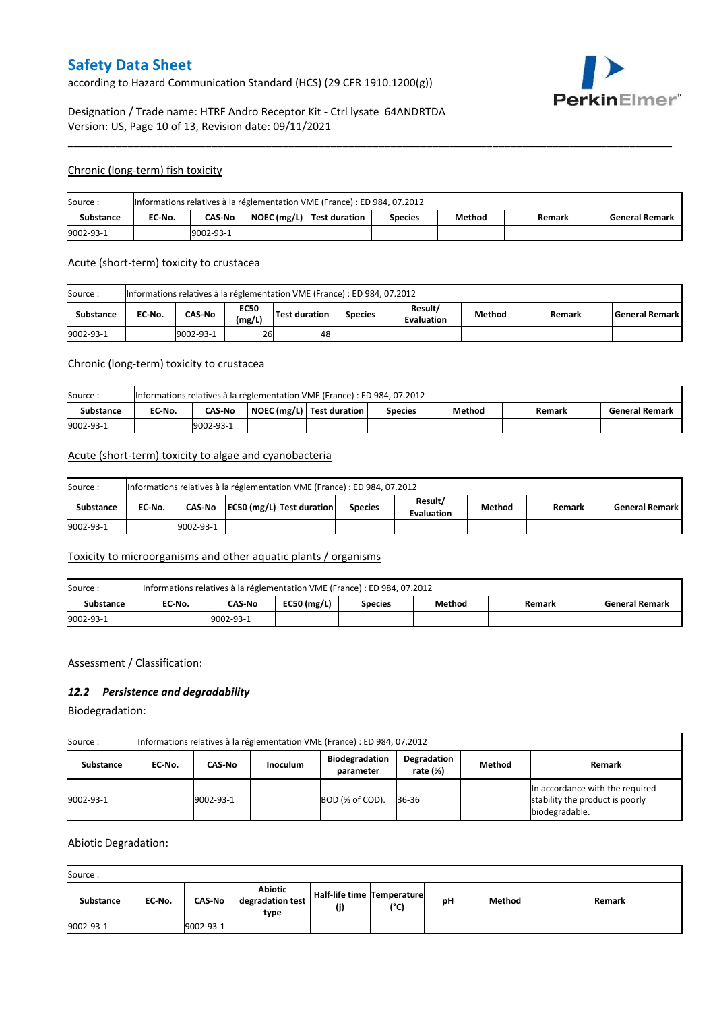according to Hazard Communication Standard (HCS) (29 CFR 1910.1200(g))



# Designation / Trade name: HTRF Andro Receptor Kit - Ctrl lysate 64ANDRTDA Version: US, Page 10 of 13, Revision date: 09/11/2021

#### Chronic (long-term) fish toxicity

| Source:          | Informations relatives à la réglementation VME (France) : ED 984, 07.2012 |                                                                                                                    |  |  |  |  |  |  |  |  |  |
|------------------|---------------------------------------------------------------------------|--------------------------------------------------------------------------------------------------------------------|--|--|--|--|--|--|--|--|--|
| <b>Substance</b> | EC No.                                                                    | $\vert$ NOEC (mg/L) $\vert$ Test duration<br>Method<br><b>CAS-No</b><br><b>General Remark</b><br>Species<br>Remark |  |  |  |  |  |  |  |  |  |
| 9002-93-1        |                                                                           | 9002-93-1                                                                                                          |  |  |  |  |  |  |  |  |  |

\_\_\_\_\_\_\_\_\_\_\_\_\_\_\_\_\_\_\_\_\_\_\_\_\_\_\_\_\_\_\_\_\_\_\_\_\_\_\_\_\_\_\_\_\_\_\_\_\_\_\_\_\_\_\_\_\_\_\_\_\_\_\_\_\_\_\_\_\_\_\_\_\_\_\_\_\_\_\_\_\_\_\_\_\_\_\_\_\_\_\_\_\_\_\_\_\_\_\_\_\_

#### Acute (short-term) toxicity to crustacea

| Informations relatives à la réglementation VME (France) : ED 984, 07.2012<br>Source: |                                                                                                                                                 |           |    |    |  |  |  |  |  |  |  |
|--------------------------------------------------------------------------------------|-------------------------------------------------------------------------------------------------------------------------------------------------|-----------|----|----|--|--|--|--|--|--|--|
| <b>Substance</b>                                                                     | Result/<br><b>EC50</b><br>CAS-No<br>Test duration<br>EC No.<br>Method<br>l General Remark l<br><b>Species</b><br>Remark<br>(mg/L)<br>Evaluation |           |    |    |  |  |  |  |  |  |  |
| 9002-93-1                                                                            |                                                                                                                                                 | 9002-93-1 | 26 | 48 |  |  |  |  |  |  |  |

## Chronic (long-term) toxicity to crustacea

| Source:   | Informations relatives à la réglementation VME (France) : ED 984, 07.2012 |                                                                                                             |  |  |  |  |  |  |  |  |  |  |
|-----------|---------------------------------------------------------------------------|-------------------------------------------------------------------------------------------------------------|--|--|--|--|--|--|--|--|--|--|
| Substance | EC-No.                                                                    | NOEC (mg/L)   Test duration<br>Method<br><b>CAS-No</b><br><b>General Remark</b><br><b>Species</b><br>Remark |  |  |  |  |  |  |  |  |  |  |
| 9002-93-1 | 9002-93-1                                                                 |                                                                                                             |  |  |  |  |  |  |  |  |  |  |

### Acute (short-term) toxicity to algae and cyanobacteria

| Informations relatives à la réglementation VME (France) : ED 984, 07.2012<br>Source: |        |                                                                                                                                     |  |  |  |  |  |  |  |  |  |
|--------------------------------------------------------------------------------------|--------|-------------------------------------------------------------------------------------------------------------------------------------|--|--|--|--|--|--|--|--|--|
| <b>Substance</b>                                                                     | EC No. | Result/<br>CAS-No   EC50 (mg/L)   Test duration<br><b>General Remark</b><br>Method<br><b>Species</b><br>Remark<br><b>Evaluation</b> |  |  |  |  |  |  |  |  |  |
| 9002-93-1                                                                            |        | 9002-93-1                                                                                                                           |  |  |  |  |  |  |  |  |  |

## Toxicity to microorganisms and other aquatic plants / organisms

| Source:   | Informations relatives à la réglementation VME (France) : ED 984, 07.2012                        |  |  |  |  |  |  |  |  |  |  |
|-----------|--------------------------------------------------------------------------------------------------|--|--|--|--|--|--|--|--|--|--|
| Substance | $EC50$ (mg/L)<br>CAS-No<br>EC-No.<br>Method<br><b>General Remark</b><br>Remark<br><b>Species</b> |  |  |  |  |  |  |  |  |  |  |
| 9002-93-1 | 19002-93-1                                                                                       |  |  |  |  |  |  |  |  |  |  |

#### Assessment / Classification:

### *12.2 Persistence and degradability*

Biodegradation:

| Source :         | Informations relatives à la réglementation VME (France) : ED 984, 07.2012                                                       |           |  |                 |       |  |                                                                                      |  |  |  |  |
|------------------|---------------------------------------------------------------------------------------------------------------------------------|-----------|--|-----------------|-------|--|--------------------------------------------------------------------------------------|--|--|--|--|
| <b>Substance</b> | Degradation<br><b>Biodegradation</b><br>Method<br><b>Remark</b><br>CAS-No<br><b>Inoculum</b><br>EC No.<br>rate (%)<br>parameter |           |  |                 |       |  |                                                                                      |  |  |  |  |
| 9002-93-1        |                                                                                                                                 | 9002-93-1 |  | BOD (% of COD). | 36-36 |  | In accordance with the required<br>stability the product is poorly<br>biodegradable. |  |  |  |  |

#### Abiotic Degradation:

| Source:   |        |               |                                            |                                   |      |    |        |        |
|-----------|--------|---------------|--------------------------------------------|-----------------------------------|------|----|--------|--------|
| Substance | EC-No. | <b>CAS-No</b> | <b>Abiotic</b><br>degradation test<br>type | Half-life time Temperature<br>(j) | (°C) | рH | Method | Remark |
| 9002-93-1 |        | 9002-93-1     |                                            |                                   |      |    |        |        |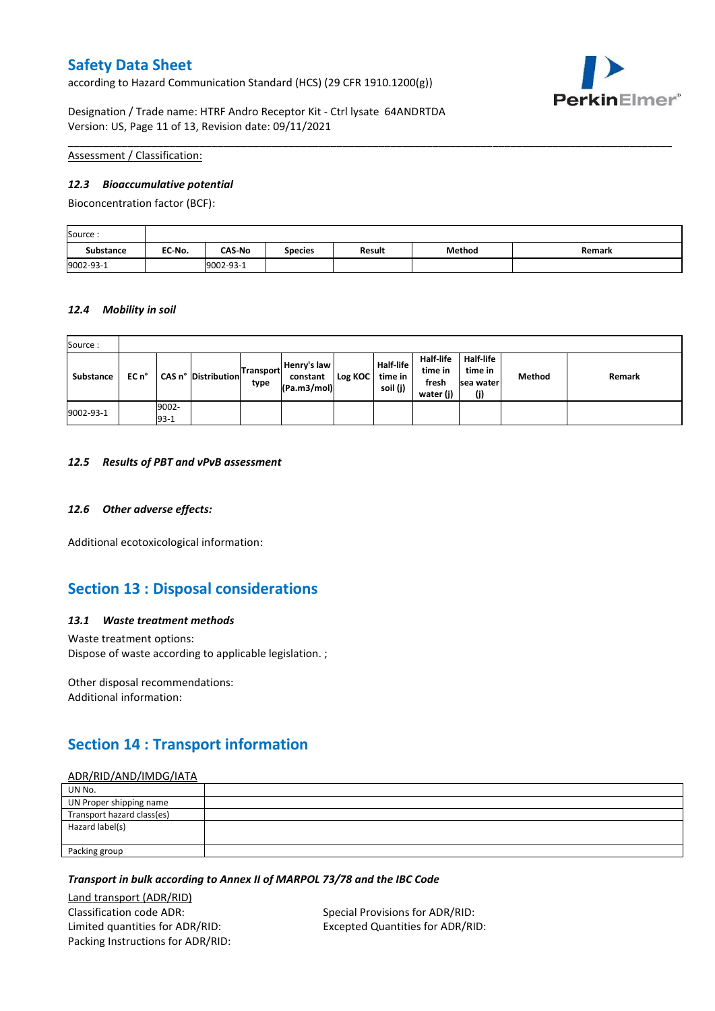according to Hazard Communication Standard (HCS) (29 CFR 1910.1200(g))



Designation / Trade name: HTRF Andro Receptor Kit - Ctrl lysate 64ANDRTDA Version: US, Page 11 of 13, Revision date: 09/11/2021

Assessment / Classification:

#### *12.3 Bioaccumulative potential*

Bioconcentration factor (BCF):

| Source:   |        |               |                |               |        |        |
|-----------|--------|---------------|----------------|---------------|--------|--------|
| Substance | EC No. | <b>CAS-No</b> | <b>Species</b> | <b>Result</b> | Method | Remark |
| 9002-93-1 |        | 9002-93-1     |                |               |        |        |

\_\_\_\_\_\_\_\_\_\_\_\_\_\_\_\_\_\_\_\_\_\_\_\_\_\_\_\_\_\_\_\_\_\_\_\_\_\_\_\_\_\_\_\_\_\_\_\_\_\_\_\_\_\_\_\_\_\_\_\_\_\_\_\_\_\_\_\_\_\_\_\_\_\_\_\_\_\_\_\_\_\_\_\_\_\_\_\_\_\_\_\_\_\_\_\_\_\_\_\_\_

#### *12.4 Mobility in soil*

| Source:   |       |                 |                     |                   |                                        |         |                                         |                                                   |                                           |        |        |
|-----------|-------|-----------------|---------------------|-------------------|----------------------------------------|---------|-----------------------------------------|---------------------------------------------------|-------------------------------------------|--------|--------|
| Substance | EC n° |                 | CAS n° Distribution | Transport<br>type | Henry's law<br>constant<br>(Pa.m3/mol) | Log KOC | <b>Half-life</b><br>time in<br>soil (j) | <b>Half-life</b><br>time in<br>fresh<br>water (j) | Half-life<br>time in<br>Isea water<br>(j) | Method | Remark |
| 9002-93-1 |       | 9002-<br>$93-1$ |                     |                   |                                        |         |                                         |                                                   |                                           |        |        |

#### *12.5 Results of PBT and vPvB assessment*

### *12.6 Other adverse effects:*

Additional ecotoxicological information:

# **Section 13 : Disposal considerations**

#### *13.1 Waste treatment methods*

Waste treatment options: Dispose of waste according to applicable legislation. ;

Other disposal recommendations: Additional information:

# **Section 14 : Transport information**

## ADR/RID/AND/IMDG/IATA

| UN No.                     |  |
|----------------------------|--|
| UN Proper shipping name    |  |
| Transport hazard class(es) |  |
| Hazard label(s)            |  |
|                            |  |
| Packing group              |  |

#### *Transport in bulk according to Annex II of MARPOL 73/78 and the IBC Code*

Land transport (ADR/RID) Classification code ADR: Special Provisions for ADR/RID: Limited quantities for ADR/RID: Excepted Quantities for ADR/RID: Packing Instructions for ADR/RID: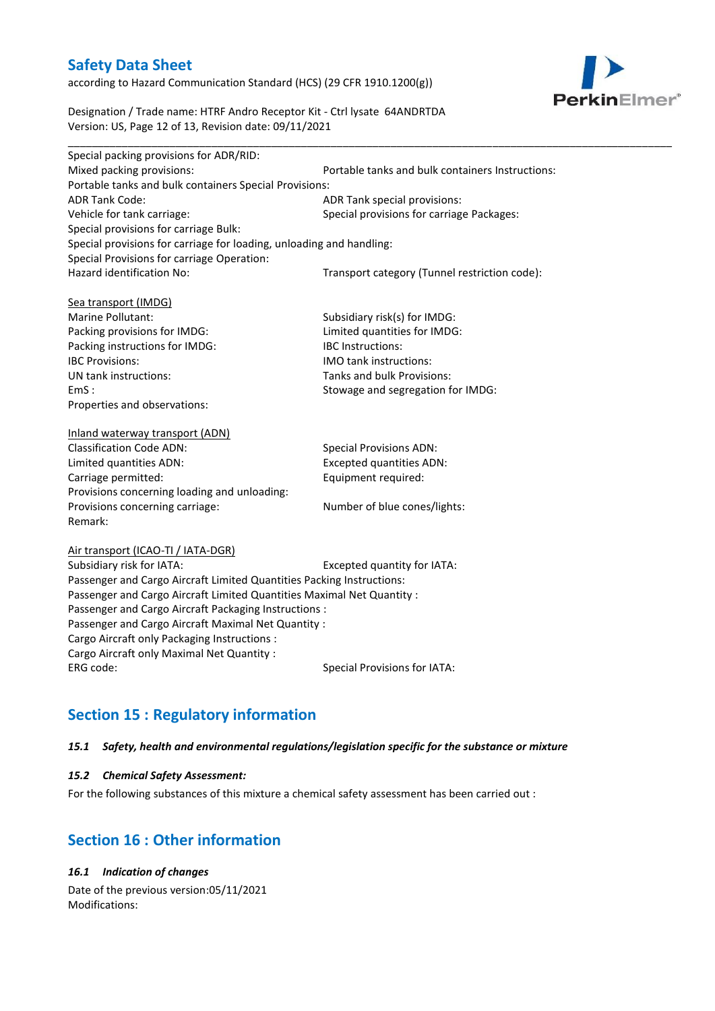according to Hazard Communication Standard (HCS) (29 CFR 1910.1200(g))



Designation / Trade name: HTRF Andro Receptor Kit - Ctrl lysate 64ANDRTDA Version: US, Page 12 of 13, Revision date: 09/11/2021

| Special packing provisions for ADR/RID:                              |                                                  |
|----------------------------------------------------------------------|--------------------------------------------------|
| Mixed packing provisions:                                            | Portable tanks and bulk containers Instructions: |
| Portable tanks and bulk containers Special Provisions:               |                                                  |
| <b>ADR Tank Code:</b>                                                | ADR Tank special provisions:                     |
| Vehicle for tank carriage:                                           | Special provisions for carriage Packages:        |
| Special provisions for carriage Bulk:                                |                                                  |
| Special provisions for carriage for loading, unloading and handling: |                                                  |
| Special Provisions for carriage Operation:                           |                                                  |
| Hazard identification No:                                            | Transport category (Tunnel restriction code):    |
|                                                                      |                                                  |
| Sea transport (IMDG)                                                 |                                                  |
| Marine Pollutant:                                                    | Subsidiary risk(s) for IMDG:                     |
| Packing provisions for IMDG:                                         | Limited quantities for IMDG:                     |
| Packing instructions for IMDG:                                       | <b>IBC</b> Instructions:                         |
| <b>IBC Provisions:</b>                                               | IMO tank instructions:                           |
| UN tank instructions:                                                | Tanks and bulk Provisions:                       |
| EmS:                                                                 | Stowage and segregation for IMDG:                |
| Properties and observations:                                         |                                                  |
| Inland waterway transport (ADN)                                      |                                                  |
| <b>Classification Code ADN:</b>                                      | <b>Special Provisions ADN:</b>                   |
| Limited quantities ADN:                                              | <b>Excepted quantities ADN:</b>                  |
| Carriage permitted:                                                  | Equipment required:                              |
| Provisions concerning loading and unloading:                         |                                                  |

Air transport (ICAO-TI / IATA-DGR)

Remark:

Subsidiary risk for IATA: Excepted quantity for IATA: Passenger and Cargo Aircraft Limited Quantities Packing Instructions: Passenger and Cargo Aircraft Limited Quantities Maximal Net Quantity : Passenger and Cargo Aircraft Packaging Instructions : Passenger and Cargo Aircraft Maximal Net Quantity : Cargo Aircraft only Packaging Instructions : Cargo Aircraft only Maximal Net Quantity : ERG code: Special Provisions for IATA:

Provisions concerning carriage: Number of blue cones/lights:

# **Section 15 : Regulatory information**

## *15.1 Safety, health and environmental regulations/legislation specific for the substance or mixture*

#### *15.2 Chemical Safety Assessment:*

For the following substances of this mixture a chemical safety assessment has been carried out :

# **Section 16 : Other information**

# *16.1 Indication of changes*

Date of the previous version:05/11/2021 Modifications: